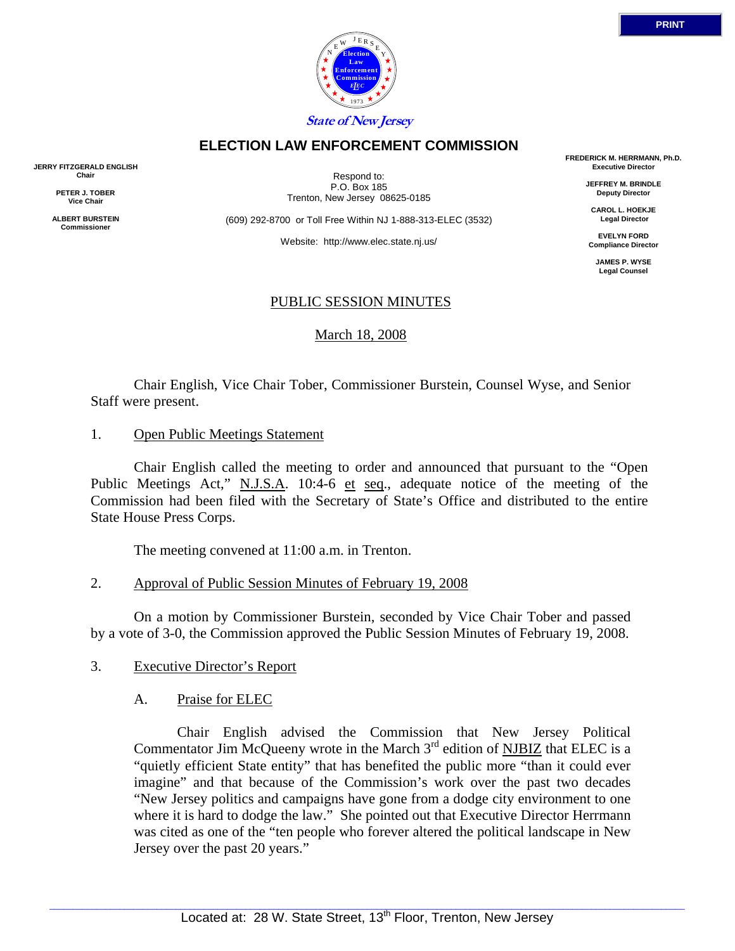

# **ELECTION LAW ENFORCEMENT COMMISSION**

**JERRY FITZGERALD ENGLISH Chair** 

> **PETER J. TOBER Vice Chair**

**ALBERT BURSTEIN Commissioner** 

Respond to: P.O. Box 185 Trenton, New Jersey 08625-0185

(609) 292-8700 or Toll Free Within NJ 1-888-313-ELEC (3532)

Website: http://www.elec.state.nj.us/

**FREDERICK M. HERRMANN, Ph.D. Executive Director** 

> **JEFFREY M. BRINDLE Deputy Director**

**CAROL L. HOEKJE Legal Director** 

**EVELYN FORD Compliance Director** 

> **JAMES P. WYSE Legal Counsel**

## PUBLIC SESSION MINUTES

March 18, 2008

 Chair English, Vice Chair Tober, Commissioner Burstein, Counsel Wyse, and Senior Staff were present.

1. Open Public Meetings Statement

 Chair English called the meeting to order and announced that pursuant to the "Open Public Meetings Act," N.J.S.A. 10:4-6 et seq., adequate notice of the meeting of the Commission had been filed with the Secretary of State's Office and distributed to the entire State House Press Corps.

The meeting convened at 11:00 a.m. in Trenton.

## 2. Approval of Public Session Minutes of February 19, 2008

 On a motion by Commissioner Burstein, seconded by Vice Chair Tober and passed by a vote of 3-0, the Commission approved the Public Session Minutes of February 19, 2008.

## 3. Executive Director's Report

## A. Praise for ELEC

 Chair English advised the Commission that New Jersey Political Commentator Jim McQueeny wrote in the March  $3<sup>rd</sup>$  edition of NJBIZ that ELEC is a "quietly efficient State entity" that has benefited the public more "than it could ever imagine" and that because of the Commission's work over the past two decades "New Jersey politics and campaigns have gone from a dodge city environment to one where it is hard to dodge the law." She pointed out that Executive Director Herrmann was cited as one of the "ten people who forever altered the political landscape in New Jersey over the past 20 years."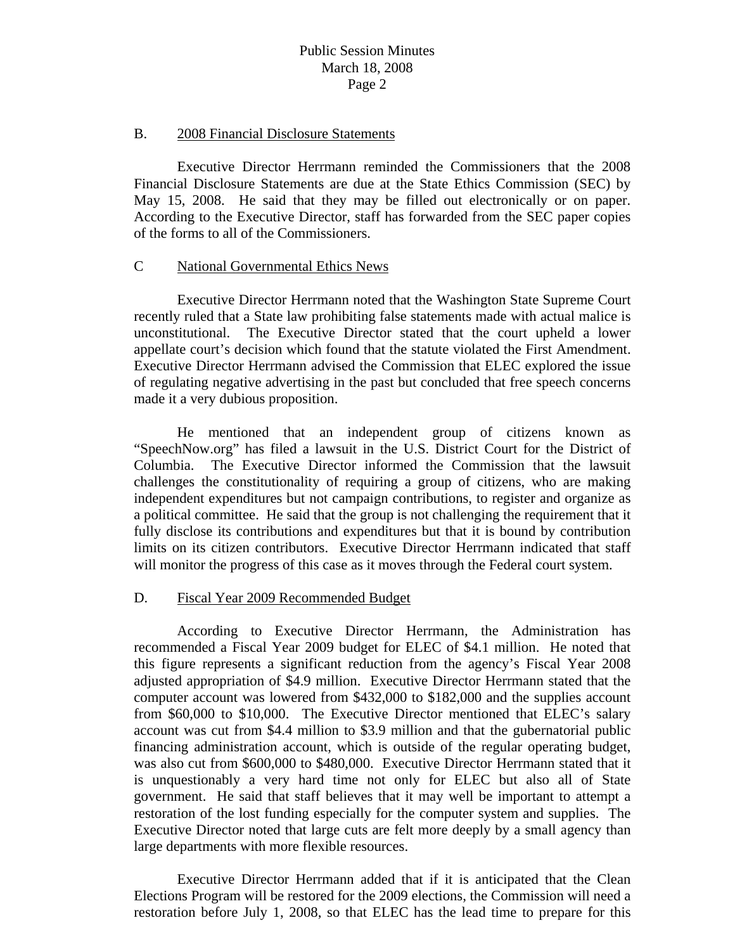#### B. 2008 Financial Disclosure Statements

 Executive Director Herrmann reminded the Commissioners that the 2008 Financial Disclosure Statements are due at the State Ethics Commission (SEC) by May 15, 2008. He said that they may be filled out electronically or on paper. According to the Executive Director, staff has forwarded from the SEC paper copies of the forms to all of the Commissioners.

#### C National Governmental Ethics News

 Executive Director Herrmann noted that the Washington State Supreme Court recently ruled that a State law prohibiting false statements made with actual malice is unconstitutional. The Executive Director stated that the court upheld a lower appellate court's decision which found that the statute violated the First Amendment. Executive Director Herrmann advised the Commission that ELEC explored the issue of regulating negative advertising in the past but concluded that free speech concerns made it a very dubious proposition.

 He mentioned that an independent group of citizens known as "SpeechNow.org" has filed a lawsuit in the U.S. District Court for the District of Columbia. The Executive Director informed the Commission that the lawsuit challenges the constitutionality of requiring a group of citizens, who are making independent expenditures but not campaign contributions, to register and organize as a political committee. He said that the group is not challenging the requirement that it fully disclose its contributions and expenditures but that it is bound by contribution limits on its citizen contributors. Executive Director Herrmann indicated that staff will monitor the progress of this case as it moves through the Federal court system.

## D. Fiscal Year 2009 Recommended Budget

 According to Executive Director Herrmann, the Administration has recommended a Fiscal Year 2009 budget for ELEC of \$4.1 million. He noted that this figure represents a significant reduction from the agency's Fiscal Year 2008 adjusted appropriation of \$4.9 million. Executive Director Herrmann stated that the computer account was lowered from \$432,000 to \$182,000 and the supplies account from \$60,000 to \$10,000. The Executive Director mentioned that ELEC's salary account was cut from \$4.4 million to \$3.9 million and that the gubernatorial public financing administration account, which is outside of the regular operating budget, was also cut from \$600,000 to \$480,000. Executive Director Herrmann stated that it is unquestionably a very hard time not only for ELEC but also all of State government. He said that staff believes that it may well be important to attempt a restoration of the lost funding especially for the computer system and supplies. The Executive Director noted that large cuts are felt more deeply by a small agency than large departments with more flexible resources.

 Executive Director Herrmann added that if it is anticipated that the Clean Elections Program will be restored for the 2009 elections, the Commission will need a restoration before July 1, 2008, so that ELEC has the lead time to prepare for this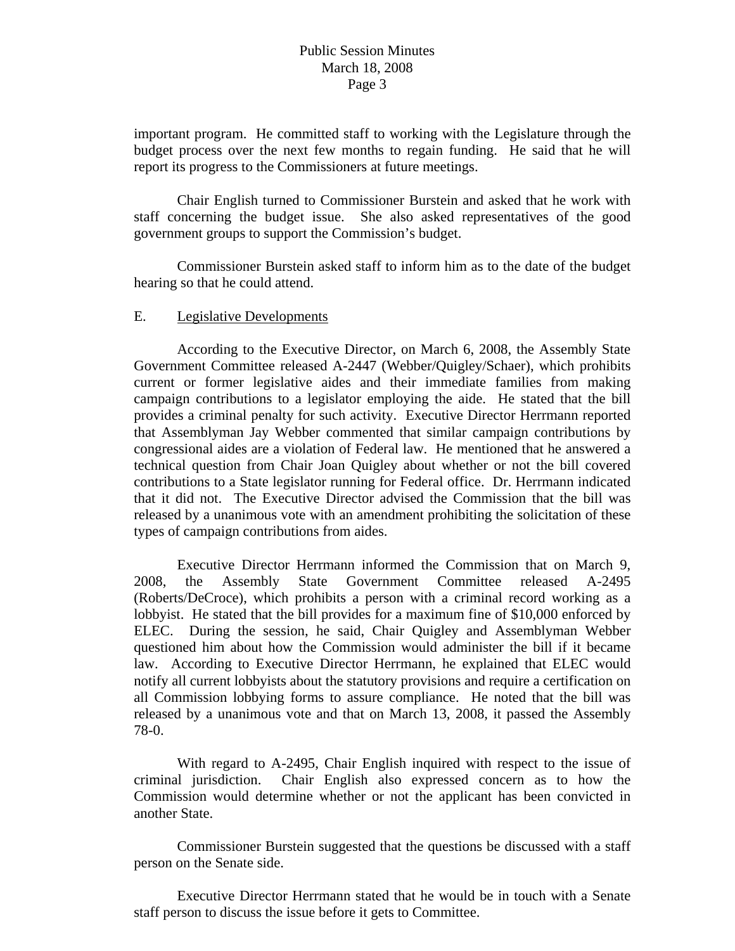important program. He committed staff to working with the Legislature through the budget process over the next few months to regain funding. He said that he will report its progress to the Commissioners at future meetings.

 Chair English turned to Commissioner Burstein and asked that he work with staff concerning the budget issue. She also asked representatives of the good government groups to support the Commission's budget.

 Commissioner Burstein asked staff to inform him as to the date of the budget hearing so that he could attend.

#### E. Legislative Developments

 According to the Executive Director, on March 6, 2008, the Assembly State Government Committee released A-2447 (Webber/Quigley/Schaer), which prohibits current or former legislative aides and their immediate families from making campaign contributions to a legislator employing the aide. He stated that the bill provides a criminal penalty for such activity. Executive Director Herrmann reported that Assemblyman Jay Webber commented that similar campaign contributions by congressional aides are a violation of Federal law. He mentioned that he answered a technical question from Chair Joan Quigley about whether or not the bill covered contributions to a State legislator running for Federal office. Dr. Herrmann indicated that it did not. The Executive Director advised the Commission that the bill was released by a unanimous vote with an amendment prohibiting the solicitation of these types of campaign contributions from aides.

 Executive Director Herrmann informed the Commission that on March 9, 2008, the Assembly State Government Committee released A-2495 (Roberts/DeCroce), which prohibits a person with a criminal record working as a lobbyist. He stated that the bill provides for a maximum fine of \$10,000 enforced by ELEC. During the session, he said, Chair Quigley and Assemblyman Webber questioned him about how the Commission would administer the bill if it became law. According to Executive Director Herrmann, he explained that ELEC would notify all current lobbyists about the statutory provisions and require a certification on all Commission lobbying forms to assure compliance. He noted that the bill was released by a unanimous vote and that on March 13, 2008, it passed the Assembly 78-0.

 With regard to A-2495, Chair English inquired with respect to the issue of criminal jurisdiction. Chair English also expressed concern as to how the Commission would determine whether or not the applicant has been convicted in another State.

 Commissioner Burstein suggested that the questions be discussed with a staff person on the Senate side.

 Executive Director Herrmann stated that he would be in touch with a Senate staff person to discuss the issue before it gets to Committee.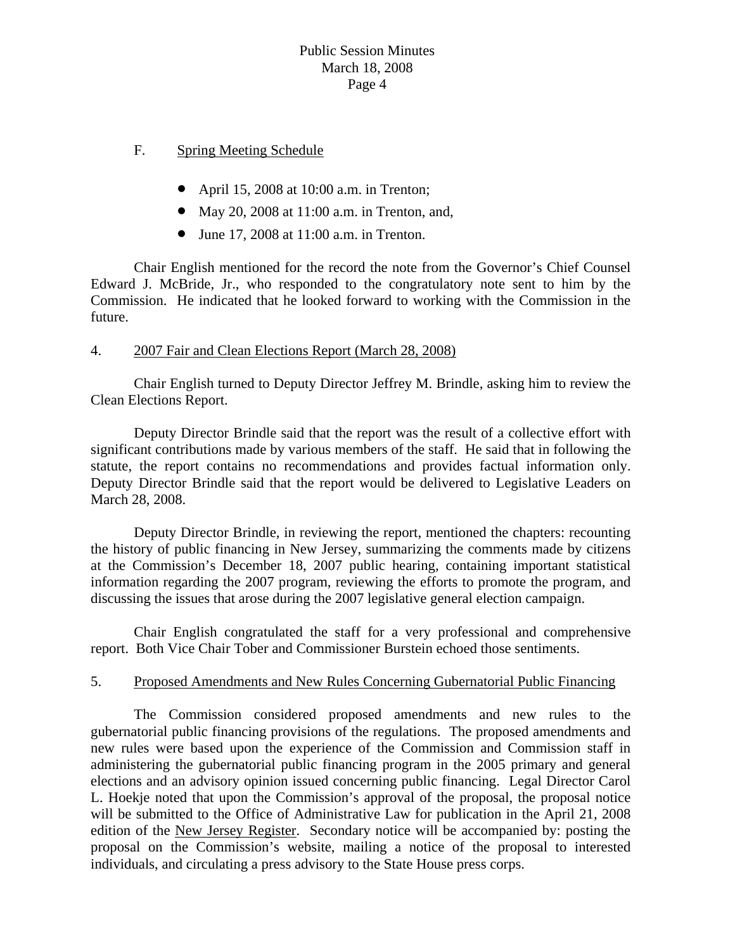## F. Spring Meeting Schedule

- April 15, 2008 at 10:00 a.m. in Trenton;
- May 20, 2008 at 11:00 a.m. in Trenton, and,
- June 17, 2008 at 11:00 a.m. in Trenton.

 Chair English mentioned for the record the note from the Governor's Chief Counsel Edward J. McBride, Jr., who responded to the congratulatory note sent to him by the Commission. He indicated that he looked forward to working with the Commission in the future.

# 4. 2007 Fair and Clean Elections Report (March 28, 2008)

 Chair English turned to Deputy Director Jeffrey M. Brindle, asking him to review the Clean Elections Report.

 Deputy Director Brindle said that the report was the result of a collective effort with significant contributions made by various members of the staff. He said that in following the statute, the report contains no recommendations and provides factual information only. Deputy Director Brindle said that the report would be delivered to Legislative Leaders on March 28, 2008.

 Deputy Director Brindle, in reviewing the report, mentioned the chapters: recounting the history of public financing in New Jersey, summarizing the comments made by citizens at the Commission's December 18, 2007 public hearing, containing important statistical information regarding the 2007 program, reviewing the efforts to promote the program, and discussing the issues that arose during the 2007 legislative general election campaign.

 Chair English congratulated the staff for a very professional and comprehensive report. Both Vice Chair Tober and Commissioner Burstein echoed those sentiments.

## 5. Proposed Amendments and New Rules Concerning Gubernatorial Public Financing

 The Commission considered proposed amendments and new rules to the gubernatorial public financing provisions of the regulations. The proposed amendments and new rules were based upon the experience of the Commission and Commission staff in administering the gubernatorial public financing program in the 2005 primary and general elections and an advisory opinion issued concerning public financing. Legal Director Carol L. Hoekje noted that upon the Commission's approval of the proposal, the proposal notice will be submitted to the Office of Administrative Law for publication in the April 21, 2008 edition of the New Jersey Register. Secondary notice will be accompanied by: posting the proposal on the Commission's website, mailing a notice of the proposal to interested individuals, and circulating a press advisory to the State House press corps.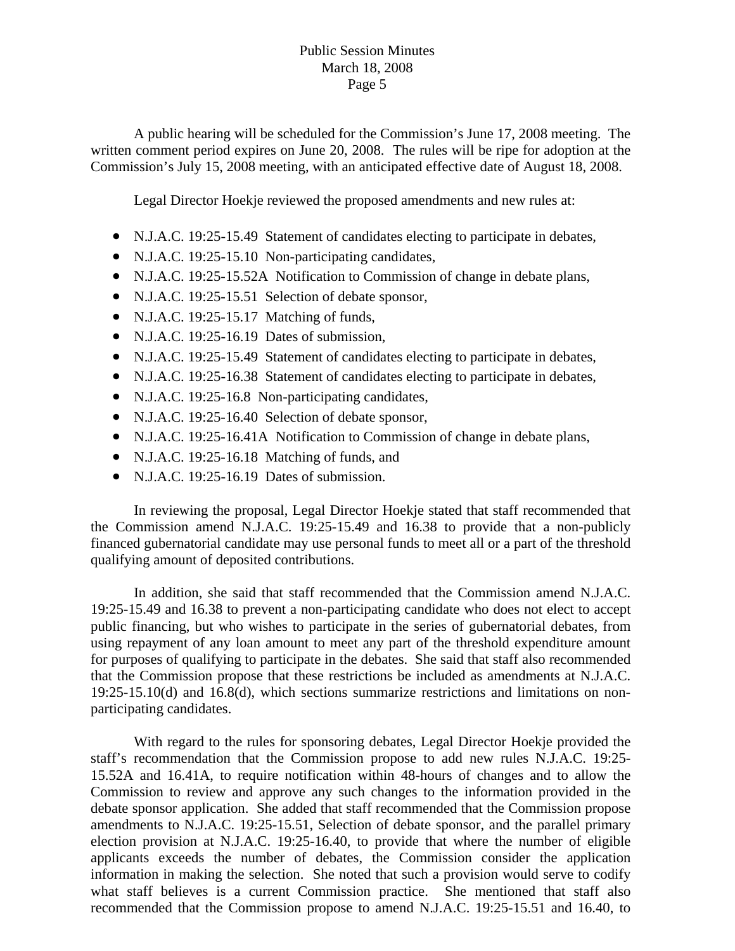A public hearing will be scheduled for the Commission's June 17, 2008 meeting. The written comment period expires on June 20, 2008. The rules will be ripe for adoption at the Commission's July 15, 2008 meeting, with an anticipated effective date of August 18, 2008.

Legal Director Hoekje reviewed the proposed amendments and new rules at:

- N.J.A.C. 19:25-15.49 Statement of candidates electing to participate in debates,
- N.J.A.C. 19:25-15.10 Non-participating candidates,
- N.J.A.C. 19:25-15.52A Notification to Commission of change in debate plans,
- N.J.A.C. 19:25-15.51 Selection of debate sponsor,
- N.J.A.C. 19:25-15.17 Matching of funds,
- N.J.A.C. 19:25-16.19 Dates of submission,
- N.J.A.C. 19:25-15.49 Statement of candidates electing to participate in debates,
- N.J.A.C. 19:25-16.38 Statement of candidates electing to participate in debates,
- N.J.A.C. 19:25-16.8 Non-participating candidates,
- N.J.A.C. 19:25-16.40 Selection of debate sponsor,
- N.J.A.C. 19:25-16.41A Notification to Commission of change in debate plans,
- N.J.A.C. 19:25-16.18 Matching of funds, and
- N.J.A.C. 19:25-16.19 Dates of submission.

 In reviewing the proposal, Legal Director Hoekje stated that staff recommended that the Commission amend N.J.A.C. 19:25-15.49 and 16.38 to provide that a non-publicly financed gubernatorial candidate may use personal funds to meet all or a part of the threshold qualifying amount of deposited contributions.

 In addition, she said that staff recommended that the Commission amend N.J.A.C. 19:25-15.49 and 16.38 to prevent a non-participating candidate who does not elect to accept public financing, but who wishes to participate in the series of gubernatorial debates, from using repayment of any loan amount to meet any part of the threshold expenditure amount for purposes of qualifying to participate in the debates. She said that staff also recommended that the Commission propose that these restrictions be included as amendments at N.J.A.C. 19:25-15.10(d) and 16.8(d), which sections summarize restrictions and limitations on nonparticipating candidates.

 With regard to the rules for sponsoring debates, Legal Director Hoekje provided the staff's recommendation that the Commission propose to add new rules N.J.A.C. 19:25- 15.52A and 16.41A, to require notification within 48-hours of changes and to allow the Commission to review and approve any such changes to the information provided in the debate sponsor application. She added that staff recommended that the Commission propose amendments to N.J.A.C. 19:25-15.51, Selection of debate sponsor, and the parallel primary election provision at N.J.A.C. 19:25-16.40, to provide that where the number of eligible applicants exceeds the number of debates, the Commission consider the application information in making the selection. She noted that such a provision would serve to codify what staff believes is a current Commission practice. She mentioned that staff also recommended that the Commission propose to amend N.J.A.C. 19:25-15.51 and 16.40, to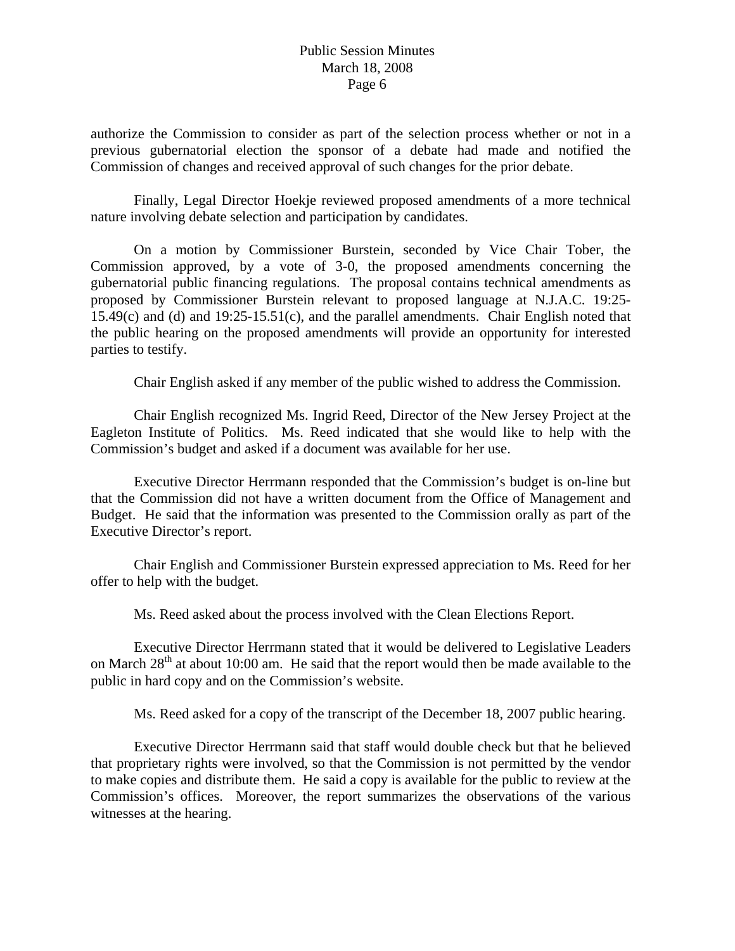authorize the Commission to consider as part of the selection process whether or not in a previous gubernatorial election the sponsor of a debate had made and notified the Commission of changes and received approval of such changes for the prior debate.

 Finally, Legal Director Hoekje reviewed proposed amendments of a more technical nature involving debate selection and participation by candidates.

 On a motion by Commissioner Burstein, seconded by Vice Chair Tober, the Commission approved, by a vote of 3-0, the proposed amendments concerning the gubernatorial public financing regulations. The proposal contains technical amendments as proposed by Commissioner Burstein relevant to proposed language at N.J.A.C. 19:25- 15.49(c) and (d) and 19:25-15.51(c), and the parallel amendments. Chair English noted that the public hearing on the proposed amendments will provide an opportunity for interested parties to testify.

Chair English asked if any member of the public wished to address the Commission.

 Chair English recognized Ms. Ingrid Reed, Director of the New Jersey Project at the Eagleton Institute of Politics. Ms. Reed indicated that she would like to help with the Commission's budget and asked if a document was available for her use.

 Executive Director Herrmann responded that the Commission's budget is on-line but that the Commission did not have a written document from the Office of Management and Budget. He said that the information was presented to the Commission orally as part of the Executive Director's report.

 Chair English and Commissioner Burstein expressed appreciation to Ms. Reed for her offer to help with the budget.

Ms. Reed asked about the process involved with the Clean Elections Report.

 Executive Director Herrmann stated that it would be delivered to Legislative Leaders on March 28<sup>th</sup> at about 10:00 am. He said that the report would then be made available to the public in hard copy and on the Commission's website.

Ms. Reed asked for a copy of the transcript of the December 18, 2007 public hearing.

 Executive Director Herrmann said that staff would double check but that he believed that proprietary rights were involved, so that the Commission is not permitted by the vendor to make copies and distribute them. He said a copy is available for the public to review at the Commission's offices. Moreover, the report summarizes the observations of the various witnesses at the hearing.